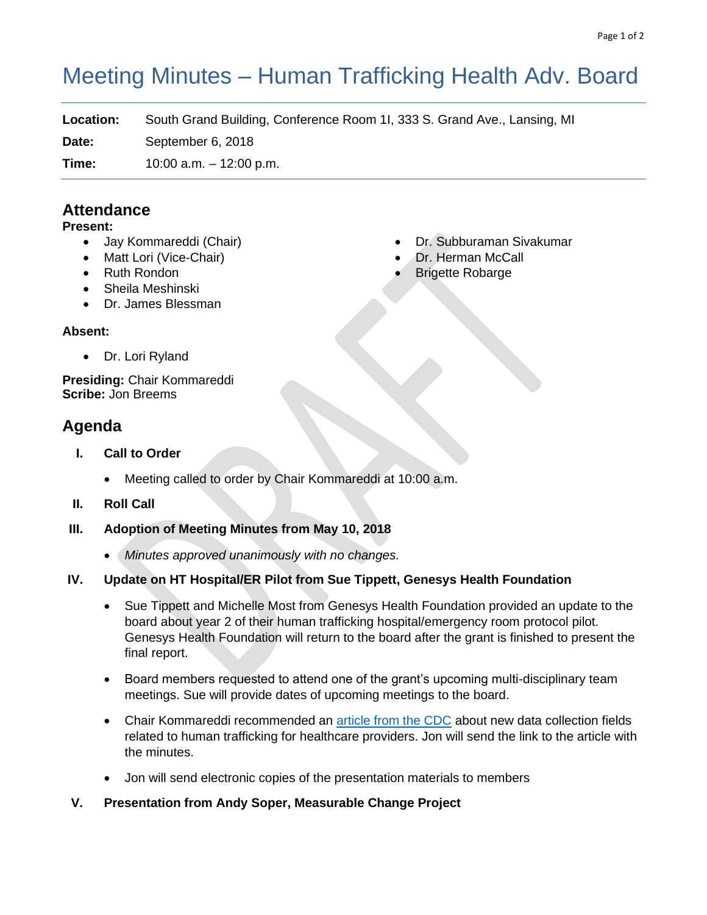# Meeting Minutes – Human Trafficking Health Adv. Board

**Location:** South Grand Building, Conference Room 1I, 333 S. Grand Ave., Lansing, MI

**Date:** September 6, 2018

**Time:** 10:00 a.m. – 12:00 p.m.

# **Attendance**

#### **Present:**

- Jay Kommareddi (Chair)
- Matt Lori (Vice-Chair)
- Ruth Rondon
- Sheila Meshinski
- Dr. James Blessman

### **Absent:**

• Dr. Lori Ryland

**Presiding:** Chair Kommareddi **Scribe:** Jon Breems

# **Agenda**

- **I. Call to Order**
	- Meeting called to order by Chair Kommareddi at 10:00 a.m.
- **II. Roll Call**
- **III. Adoption of Meeting Minutes from May 10, 2018**
	- *Minutes approved unanimously with no changes.*

## **IV. Update on HT Hospital/ER Pilot from Sue Tippett, Genesys Health Foundation**

- Sue Tippett and Michelle Most from Genesys Health Foundation provided an update to the board about year 2 of their human trafficking hospital/emergency room protocol pilot. Genesys Health Foundation will return to the board after the grant is finished to present the final report.
- Board members requested to attend one of the grant's upcoming multi-disciplinary team meetings. Sue will provide dates of upcoming meetings to the board.
- Chair Kommareddi recommended an [article from the CDC](https://www.acf.hhs.gov/otip/news/icd-10) about new data collection fields related to human trafficking for healthcare providers. Jon will send the link to the article with the minutes.
- Jon will send electronic copies of the presentation materials to members

#### **V. Presentation from Andy Soper, Measurable Change Project**

- Dr. Subburaman Sivakumar
- Dr. Herman McCall
- Brigette Robarge